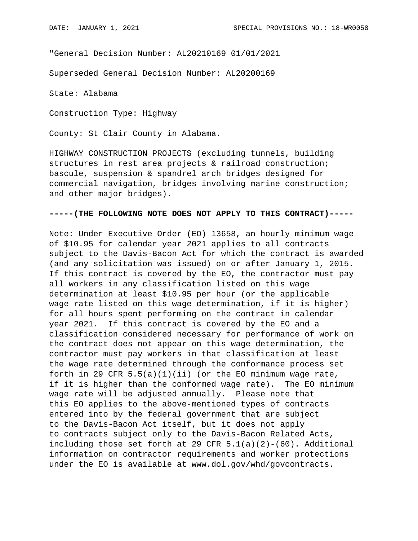"General Decision Number: AL20210169 01/01/2021

Superseded General Decision Number: AL20200169

State: Alabama

Construction Type: Highway

County: St Clair County in Alabama.

HIGHWAY CONSTRUCTION PROJECTS (excluding tunnels, building structures in rest area projects & railroad construction; bascule, suspension & spandrel arch bridges designed for commercial navigation, bridges involving marine construction; and other major bridges).

### **-----(THE FOLLOWING NOTE DOES NOT APPLY TO THIS CONTRACT)-----**

Note: Under Executive Order (EO) 13658, an hourly minimum wage of \$10.95 for calendar year 2021 applies to all contracts subject to the Davis-Bacon Act for which the contract is awarded (and any solicitation was issued) on or after January 1, 2015. If this contract is covered by the EO, the contractor must pay all workers in any classification listed on this wage determination at least \$10.95 per hour (or the applicable wage rate listed on this wage determination, if it is higher) for all hours spent performing on the contract in calendar year 2021. If this contract is covered by the EO and a classification considered necessary for performance of work on the contract does not appear on this wage determination, the contractor must pay workers in that classification at least the wage rate determined through the conformance process set forth in 29 CFR  $5.5(a)(1)(ii)$  (or the EO minimum wage rate, if it is higher than the conformed wage rate). The EO minimum wage rate will be adjusted annually. Please note that this EO applies to the above-mentioned types of contracts entered into by the federal government that are subject to the Davis-Bacon Act itself, but it does not apply to contracts subject only to the Davis-Bacon Related Acts, including those set forth at 29 CFR  $5.1(a)(2)-(60)$ . Additional information on contractor requirements and worker protections under the EO is available at www.dol.gov/whd/govcontracts.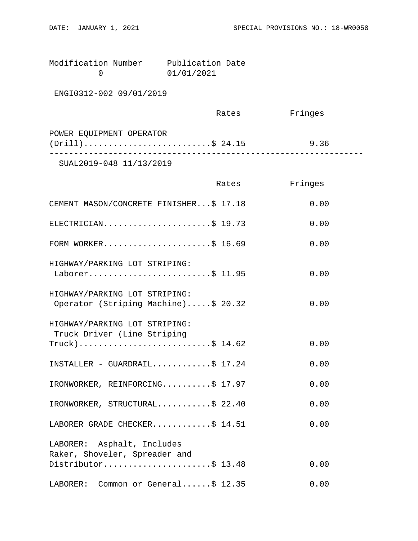| Modification Number | Publication Date |  |
|---------------------|------------------|--|
|                     | 01/01/2021       |  |

ENGI0312-002 09/01/2019

|                          | Rates | Fringes |  |
|--------------------------|-------|---------|--|
| POWER EQUIPMENT OPERATOR |       |         |  |
| $(Drill)$ \$ 24.15       |       | 9.36    |  |
| 777770010001111100010    |       |         |  |

SUAL2019-048 11/13/2019

|                                                                      | Rates | Fringes |
|----------------------------------------------------------------------|-------|---------|
| CEMENT MASON/CONCRETE FINISHER\$ 17.18                               |       | 0.00    |
| ELECTRICIAN\$ 19.73                                                  |       | 0.00    |
| FORM WORKER\$ 16.69                                                  |       | 0.00    |
| HIGHWAY/PARKING LOT STRIPING:<br>Laborer\$ 11.95                     |       | 0.00    |
| HIGHWAY/PARKING LOT STRIPING:<br>Operator (Striping Machine)\$ 20.32 |       | 0.00    |
| HIGHWAY/PARKING LOT STRIPING:<br>Truck Driver (Line Striping         |       |         |
| $True k)$ \$ 14.62                                                   |       | 0.00    |
| INSTALLER - GUARDRAIL\$ 17.24                                        |       | 0.00    |
| IRONWORKER, REINFORCING\$ 17.97                                      |       | 0.00    |
| IRONWORKER, STRUCTURAL\$ 22.40                                       |       | 0.00    |
| LABORER GRADE CHECKER\$ 14.51                                        |       | 0.00    |
| LABORER: Asphalt, Includes                                           |       |         |
| Raker, Shoveler, Spreader and<br>Distributor\$ 13.48                 |       | 0.00    |
| LABORER: Common or General\$ 12.35                                   |       | 0.00    |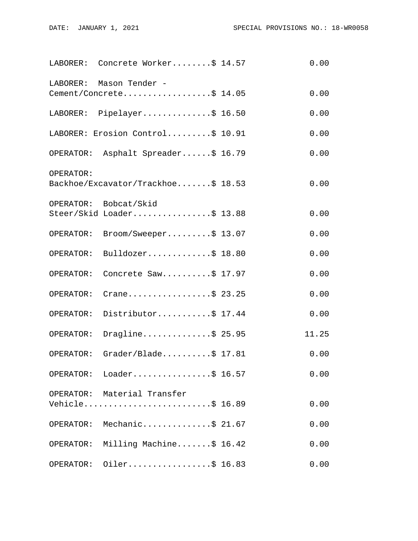|           | LABORER: Concrete Worker\$ 14.57                   | 0.00  |
|-----------|----------------------------------------------------|-------|
| LABORER:  | Mason Tender -<br>Cement/Concrete\$ 14.05          | 0.00  |
|           | LABORER: Pipelayer\$ 16.50                         | 0.00  |
|           | LABORER: Erosion Control\$ 10.91                   | 0.00  |
|           | OPERATOR: Asphalt Spreader\$ 16.79                 | 0.00  |
| OPERATOR: | Backhoe/Excavator/Trackhoe\$ 18.53                 | 0.00  |
|           | OPERATOR: Bobcat/Skid<br>Steer/Skid Loader\$ 13.88 | 0.00  |
| OPERATOR: | Broom/Sweeper\$ 13.07                              | 0.00  |
| OPERATOR: | Bulldozer\$ $18.80$                                | 0.00  |
| OPERATOR: | Concrete Saw\$ 17.97                               | 0.00  |
| OPERATOR: | Crane\$ 23.25                                      | 0.00  |
| OPERATOR: | Distributor\$ 17.44                                | 0.00  |
| OPERATOR: | Dragline\$ 25.95                                   | 11.25 |
| OPERATOR: | Grader/Blade $$ 17.81$                             | 0.00  |
|           | OPERATOR: Loader\$ 16.57                           | 0.00  |
|           | OPERATOR: Material Transfer<br>Vehicle\$ 16.89     | 0.00  |
|           | OPERATOR: Mechanic\$ 21.67                         | 0.00  |
|           | OPERATOR: Milling Machine\$ 16.42                  | 0.00  |
| OPERATOR: | Oiler\$ 16.83                                      | 0.00  |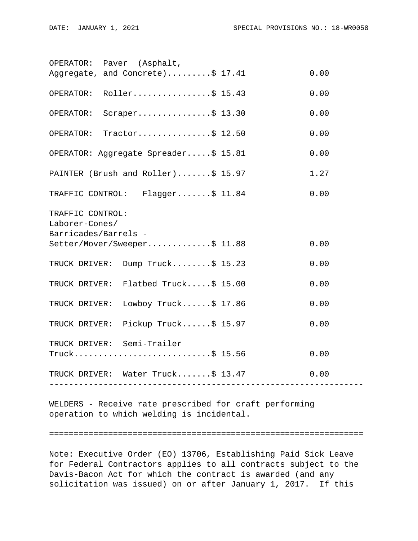|                                    | OPERATOR: Paver (Asphalt,                       |  |      |
|------------------------------------|-------------------------------------------------|--|------|
|                                    | Aggregate, and Concrete)\$ 17.41                |  | 0.00 |
|                                    | OPERATOR: Roller\$ 15.43                        |  | 0.00 |
| OPERATOR:                          | Scraper\$ $13.30$                               |  | 0.00 |
| OPERATOR:                          | Tractor\$ $12.50$                               |  | 0.00 |
|                                    | OPERATOR: Aggregate Spreader\$ 15.81            |  | 0.00 |
|                                    | PAINTER (Brush and Roller)\$ 15.97              |  | 1.27 |
|                                    | TRAFFIC CONTROL: Flagger\$ 11.84                |  | 0.00 |
| TRAFFIC CONTROL:<br>Laborer-Cones/ |                                                 |  |      |
| Barricades/Barrels -               |                                                 |  |      |
|                                    | Setter/Mover/Sweeper\$ 11.88                    |  | 0.00 |
|                                    | TRUCK DRIVER: Dump Truck\$ 15.23                |  | 0.00 |
|                                    | TRUCK DRIVER: Flatbed Truck\$ 15.00             |  | 0.00 |
| TRUCK DRIVER:                      | Lowboy Truck $$17.86$                           |  | 0.00 |
|                                    | TRUCK DRIVER: Pickup Truck\$ 15.97              |  | 0.00 |
|                                    | TRUCK DRIVER: Semi-Trailer<br>$True k$ \$ 15.56 |  | 0.00 |
|                                    | TRUCK DRIVER: Water Truck\$ 13.47               |  | 0.00 |
|                                    |                                                 |  |      |

WELDERS - Receive rate prescribed for craft performing operation to which welding is incidental.

#### ================================================================

Note: Executive Order (EO) 13706, Establishing Paid Sick Leave for Federal Contractors applies to all contracts subject to the Davis-Bacon Act for which the contract is awarded (and any solicitation was issued) on or after January 1, 2017. If this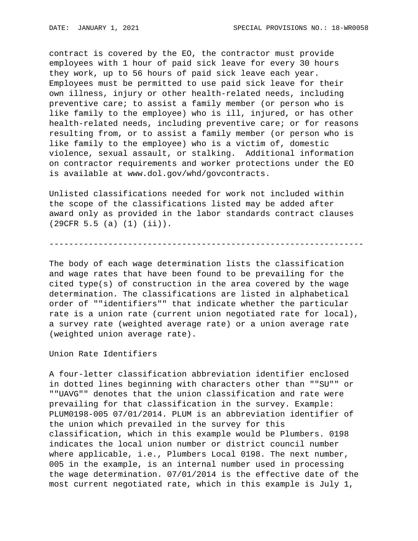contract is covered by the EO, the contractor must provide employees with 1 hour of paid sick leave for every 30 hours they work, up to 56 hours of paid sick leave each year. Employees must be permitted to use paid sick leave for their own illness, injury or other health-related needs, including preventive care; to assist a family member (or person who is like family to the employee) who is ill, injured, or has other health-related needs, including preventive care; or for reasons resulting from, or to assist a family member (or person who is like family to the employee) who is a victim of, domestic violence, sexual assault, or stalking. Additional information on contractor requirements and worker protections under the EO is available at www.dol.gov/whd/govcontracts.

Unlisted classifications needed for work not included within the scope of the classifications listed may be added after award only as provided in the labor standards contract clauses (29CFR 5.5 (a) (1) (ii)).

----------------------------------------------------------------

The body of each wage determination lists the classification and wage rates that have been found to be prevailing for the cited type(s) of construction in the area covered by the wage determination. The classifications are listed in alphabetical order of ""identifiers"" that indicate whether the particular rate is a union rate (current union negotiated rate for local), a survey rate (weighted average rate) or a union average rate (weighted union average rate).

Union Rate Identifiers

A four-letter classification abbreviation identifier enclosed in dotted lines beginning with characters other than ""SU"" or ""UAVG"" denotes that the union classification and rate were prevailing for that classification in the survey. Example: PLUM0198-005 07/01/2014. PLUM is an abbreviation identifier of the union which prevailed in the survey for this classification, which in this example would be Plumbers. 0198 indicates the local union number or district council number where applicable, i.e., Plumbers Local 0198. The next number, 005 in the example, is an internal number used in processing the wage determination. 07/01/2014 is the effective date of the most current negotiated rate, which in this example is July 1,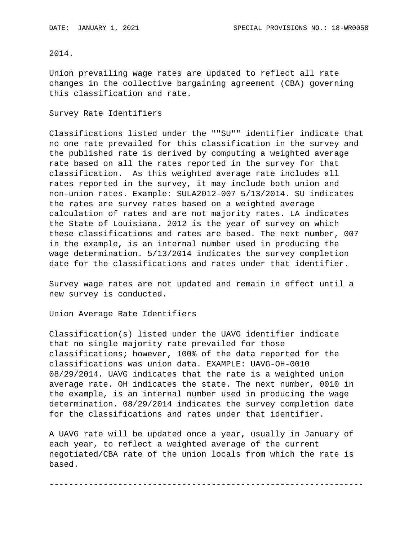# 2014.

Union prevailing wage rates are updated to reflect all rate changes in the collective bargaining agreement (CBA) governing this classification and rate.

#### Survey Rate Identifiers

Classifications listed under the ""SU"" identifier indicate that no one rate prevailed for this classification in the survey and the published rate is derived by computing a weighted average rate based on all the rates reported in the survey for that classification. As this weighted average rate includes all rates reported in the survey, it may include both union and non-union rates. Example: SULA2012-007 5/13/2014. SU indicates the rates are survey rates based on a weighted average calculation of rates and are not majority rates. LA indicates the State of Louisiana. 2012 is the year of survey on which these classifications and rates are based. The next number, 007 in the example, is an internal number used in producing the wage determination. 5/13/2014 indicates the survey completion date for the classifications and rates under that identifier.

Survey wage rates are not updated and remain in effect until a new survey is conducted.

Union Average Rate Identifiers

Classification(s) listed under the UAVG identifier indicate that no single majority rate prevailed for those classifications; however, 100% of the data reported for the classifications was union data. EXAMPLE: UAVG-OH-0010 08/29/2014. UAVG indicates that the rate is a weighted union average rate. OH indicates the state. The next number, 0010 in the example, is an internal number used in producing the wage determination. 08/29/2014 indicates the survey completion date for the classifications and rates under that identifier.

A UAVG rate will be updated once a year, usually in January of each year, to reflect a weighted average of the current negotiated/CBA rate of the union locals from which the rate is based.

----------------------------------------------------------------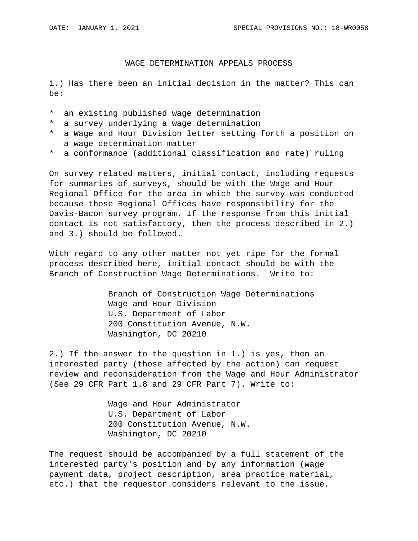# WAGE DETERMINATION APPEALS PROCESS

1.) Has there been an initial decision in the matter? This can be:

- \* an existing published wage determination
- \* a survey underlying a wage determination
- \* a Wage and Hour Division letter setting forth a position on a wage determination matter
- \* a conformance (additional classification and rate) ruling

On survey related matters, initial contact, including requests for summaries of surveys, should be with the Wage and Hour Regional Office for the area in which the survey was conducted because those Regional Offices have responsibility for the Davis-Bacon survey program. If the response from this initial contact is not satisfactory, then the process described in 2.) and 3.) should be followed.

With regard to any other matter not yet ripe for the formal process described here, initial contact should be with the Branch of Construction Wage Determinations. Write to:

> Branch of Construction Wage Determinations Wage and Hour Division U.S. Department of Labor 200 Constitution Avenue, N.W. Washington, DC 20210

2.) If the answer to the question in 1.) is yes, then an interested party (those affected by the action) can request review and reconsideration from the Wage and Hour Administrator (See 29 CFR Part 1.8 and 29 CFR Part 7). Write to:

> Wage and Hour Administrator U.S. Department of Labor 200 Constitution Avenue, N.W. Washington, DC 20210

The request should be accompanied by a full statement of the interested party's position and by any information (wage payment data, project description, area practice material, etc.) that the requestor considers relevant to the issue.